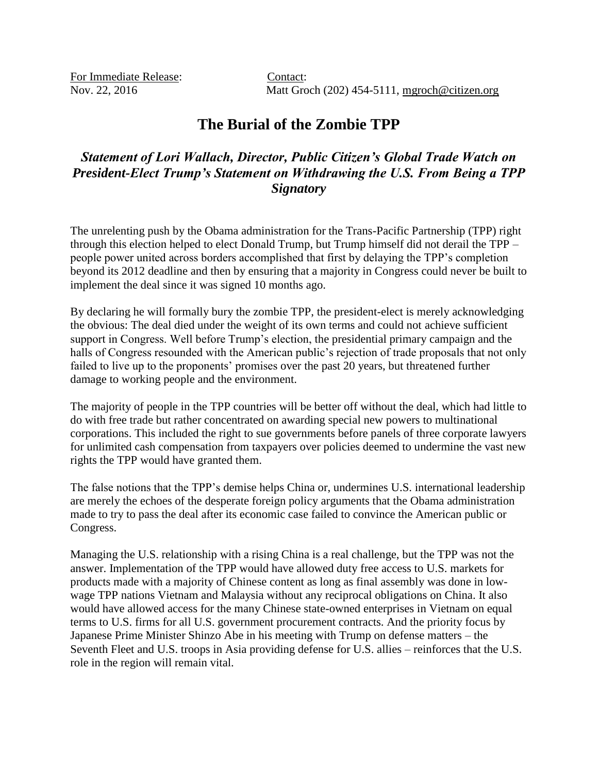For Immediate Release: Contact:

Nov. 22, 2016 Matt Groch (202) 454-5111, [mgroch@citizen.org](mailto:mgroch@citizen.org)

## **The Burial of the Zombie TPP**

## *Statement of Lori Wallach, Director, Public Citizen's Global Trade Watch on President-Elect Trump's Statement on Withdrawing the U.S. From Being a TPP Signatory*

The unrelenting push by the Obama administration for the Trans-Pacific Partnership (TPP) right through this election helped to elect Donald Trump, but Trump himself did not derail the TPP – people power united across borders accomplished that first by delaying the TPP's completion beyond its 2012 deadline and then by ensuring that a majority in Congress could never be built to implement the deal since it was signed 10 months ago.

By declaring he will formally bury the zombie TPP, the president-elect is merely acknowledging the obvious: The deal died under the weight of its own terms and could not achieve sufficient support in Congress. Well before Trump's election, the presidential primary campaign and the halls of Congress resounded with the American public's rejection of trade proposals that not only failed to live up to the proponents' promises over the past 20 years, but threatened further damage to working people and the environment.

The majority of people in the TPP countries will be better off without the deal, which had little to do with free trade but rather concentrated on awarding special new powers to multinational corporations. This included the right to sue governments before panels of three corporate lawyers for unlimited cash compensation from taxpayers over policies deemed to undermine the vast new rights the TPP would have granted them.

The false notions that the TPP's demise helps China or, undermines U.S. international leadership are merely the echoes of the desperate foreign policy arguments that the Obama administration made to try to pass the deal after its economic case failed to convince the American public or Congress.

Managing the U.S. relationship with a rising China is a real challenge, but the TPP was not the answer. Implementation of the TPP would have allowed duty free access to U.S. markets for products made with a majority of Chinese content as long as final assembly was done in lowwage TPP nations Vietnam and Malaysia without any reciprocal obligations on China. It also would have allowed access for the many Chinese state-owned enterprises in Vietnam on equal terms to U.S. firms for all U.S. government procurement contracts. And the priority focus by Japanese Prime Minister Shinzo Abe in his meeting with Trump on defense matters – the Seventh Fleet and U.S. troops in Asia providing defense for U.S. allies – reinforces that the U.S. role in the region will remain vital.